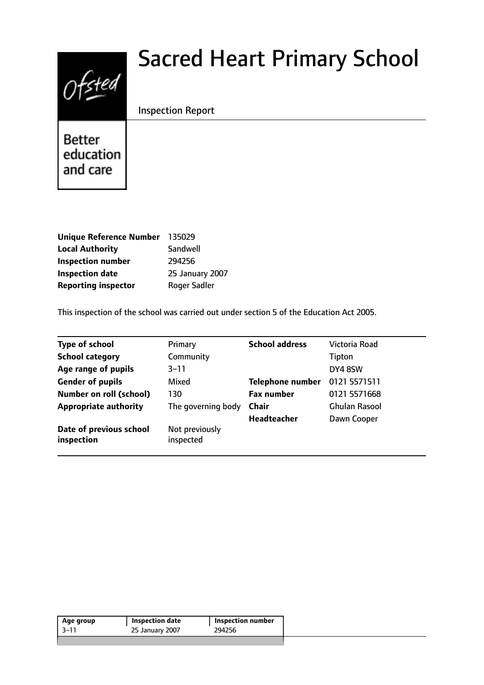# $0$ fsted

# Sacred Heart Primary School

# Inspection Report

**Better** education and care

| <b>Unique Reference Number</b> | 135029          |
|--------------------------------|-----------------|
| <b>Local Authority</b>         | Sandwell        |
| <b>Inspection number</b>       | 294256          |
| <b>Inspection date</b>         | 25 January 2007 |
| <b>Reporting inspector</b>     | Roger Sadler    |

This inspection of the school was carried out under section 5 of the Education Act 2005.

| <b>Type of school</b>                 | Primary                     | <b>School address</b>   | Victoria Road |
|---------------------------------------|-----------------------------|-------------------------|---------------|
| <b>School category</b>                | Community                   |                         | Tipton        |
| Age range of pupils                   | $3 - 11$                    |                         | DY4 8SW       |
| <b>Gender of pupils</b>               | Mixed                       | <b>Telephone number</b> | 0121 5571511  |
| <b>Number on roll (school)</b>        | 130                         | <b>Fax number</b>       | 0121 5571 668 |
| <b>Appropriate authority</b>          | The governing body          | <b>Chair</b>            | Ghulan Rasool |
|                                       |                             | <b>Headteacher</b>      | Dawn Cooper   |
| Date of previous school<br>inspection | Not previously<br>inspected |                         |               |

| Age group | <b>Inspection date</b> | Inspection number |
|-----------|------------------------|-------------------|
| -3–11     | 25 January 2007        | 294256            |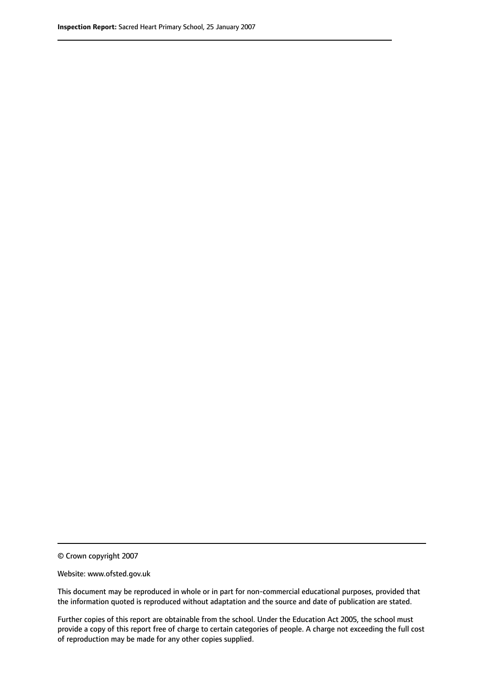© Crown copyright 2007

Website: www.ofsted.gov.uk

This document may be reproduced in whole or in part for non-commercial educational purposes, provided that the information quoted is reproduced without adaptation and the source and date of publication are stated.

Further copies of this report are obtainable from the school. Under the Education Act 2005, the school must provide a copy of this report free of charge to certain categories of people. A charge not exceeding the full cost of reproduction may be made for any other copies supplied.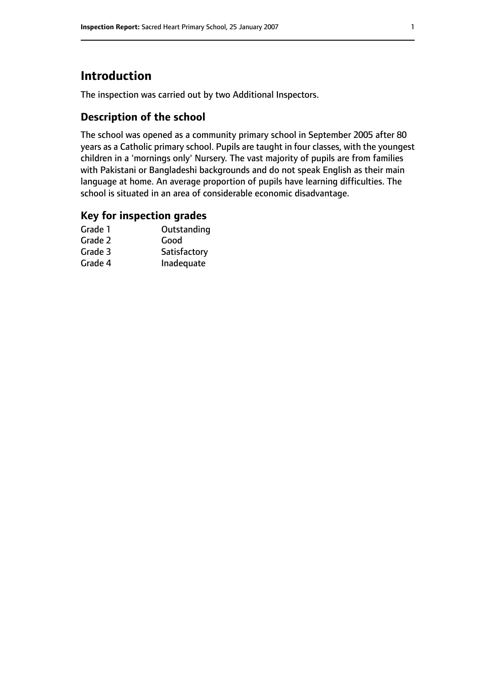# **Introduction**

The inspection was carried out by two Additional Inspectors.

# **Description of the school**

The school was opened as a community primary school in September 2005 after 80 years as a Catholic primary school. Pupils are taught in four classes, with the youngest children in a 'mornings only' Nursery. The vast majority of pupils are from families with Pakistani or Bangladeshi backgrounds and do not speak English as their main language at home. An average proportion of pupils have learning difficulties. The school is situated in an area of considerable economic disadvantage.

#### **Key for inspection grades**

| Grade 1 | Outstanding  |
|---------|--------------|
| Grade 2 | Good         |
| Grade 3 | Satisfactory |
| Grade 4 | Inadequate   |
|         |              |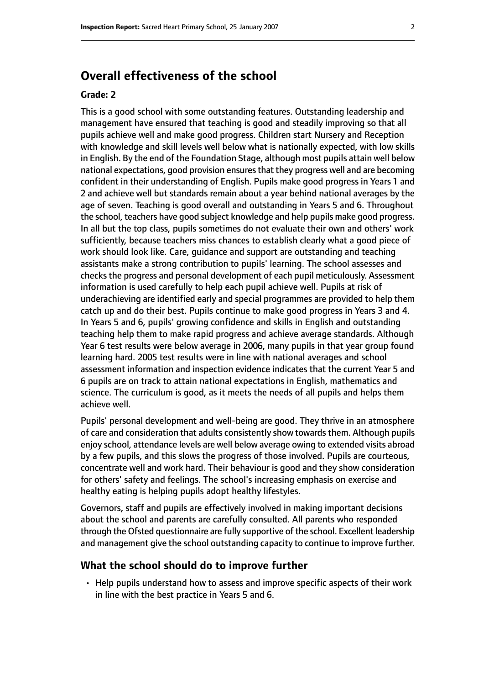# **Overall effectiveness of the school**

#### **Grade: 2**

This is a good school with some outstanding features. Outstanding leadership and management have ensured that teaching is good and steadily improving so that all pupils achieve well and make good progress. Children start Nursery and Reception with knowledge and skill levels well below what is nationally expected, with low skills in English. By the end of the Foundation Stage, although most pupils attain well below national expectations, good provision ensuresthat they progress well and are becoming confident in their understanding of English. Pupils make good progress in Years 1 and 2 and achieve well but standards remain about a year behind national averages by the age of seven. Teaching is good overall and outstanding in Years 5 and 6. Throughout the school, teachers have good subject knowledge and help pupils make good progress. In all but the top class, pupils sometimes do not evaluate their own and others' work sufficiently, because teachers miss chances to establish clearly what a good piece of work should look like. Care, guidance and support are outstanding and teaching assistants make a strong contribution to pupils' learning. The school assesses and checks the progress and personal development of each pupil meticulously. Assessment information is used carefully to help each pupil achieve well. Pupils at risk of underachieving are identified early and special programmes are provided to help them catch up and do their best. Pupils continue to make good progress in Years 3 and 4. In Years 5 and 6, pupils' growing confidence and skills in English and outstanding teaching help them to make rapid progress and achieve average standards. Although Year 6 test results were below average in 2006, many pupils in that year group found learning hard. 2005 test results were in line with national averages and school assessment information and inspection evidence indicates that the current Year 5 and 6 pupils are on track to attain national expectations in English, mathematics and science. The curriculum is good, as it meets the needs of all pupils and helps them achieve well.

Pupils' personal development and well-being are good. They thrive in an atmosphere of care and consideration that adults consistently show towards them. Although pupils enjoy school, attendance levels are well below average owing to extended visits abroad by a few pupils, and this slows the progress of those involved. Pupils are courteous, concentrate well and work hard. Their behaviour is good and they show consideration for others' safety and feelings. The school's increasing emphasis on exercise and healthy eating is helping pupils adopt healthy lifestyles.

Governors, staff and pupils are effectively involved in making important decisions about the school and parents are carefully consulted. All parents who responded through the Ofsted questionnaire are fully supportive of the school. Excellent leadership and management give the school outstanding capacity to continue to improve further.

#### **What the school should do to improve further**

• Help pupils understand how to assess and improve specific aspects of their work in line with the best practice in Years 5 and 6.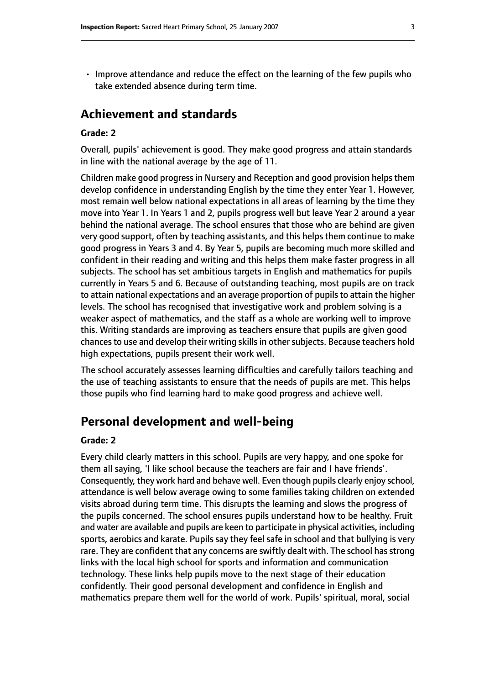• Improve attendance and reduce the effect on the learning of the few pupils who take extended absence during term time.

# **Achievement and standards**

#### **Grade: 2**

Overall, pupils' achievement is good. They make good progress and attain standards in line with the national average by the age of 11.

Children make good progress in Nursery and Reception and good provision helps them develop confidence in understanding English by the time they enter Year 1. However, most remain well below national expectations in all areas of learning by the time they move into Year 1. In Years 1 and 2, pupils progress well but leave Year 2 around a year behind the national average. The school ensures that those who are behind are given very good support, often by teaching assistants, and this helpsthem continue to make good progress in Years 3 and 4. By Year 5, pupils are becoming much more skilled and confident in their reading and writing and this helps them make faster progress in all subjects. The school has set ambitious targets in English and mathematics for pupils currently in Years 5 and 6. Because of outstanding teaching, most pupils are on track to attain national expectations and an average proportion of pupils to attain the higher levels. The school has recognised that investigative work and problem solving is a weaker aspect of mathematics, and the staff as a whole are working well to improve this. Writing standards are improving as teachers ensure that pupils are given good chances to use and develop their writing skills in other subjects. Because teachers hold high expectations, pupils present their work well.

The school accurately assesses learning difficulties and carefully tailors teaching and the use of teaching assistants to ensure that the needs of pupils are met. This helps those pupils who find learning hard to make good progress and achieve well.

### **Personal development and well-being**

#### **Grade: 2**

Every child clearly matters in this school. Pupils are very happy, and one spoke for them all saying, 'I like school because the teachers are fair and I have friends'. Consequently, they work hard and behave well. Even though pupils clearly enjoy school, attendance is well below average owing to some families taking children on extended visits abroad during term time. This disrupts the learning and slows the progress of the pupils concerned. The school ensures pupils understand how to be healthy. Fruit and water are available and pupils are keen to participate in physical activities, including sports, aerobics and karate. Pupils say they feel safe in school and that bullying is very rare. They are confident that any concerns are swiftly dealt with. The school has strong links with the local high school for sports and information and communication technology. These links help pupils move to the next stage of their education confidently. Their good personal development and confidence in English and mathematics prepare them well for the world of work. Pupils' spiritual, moral, social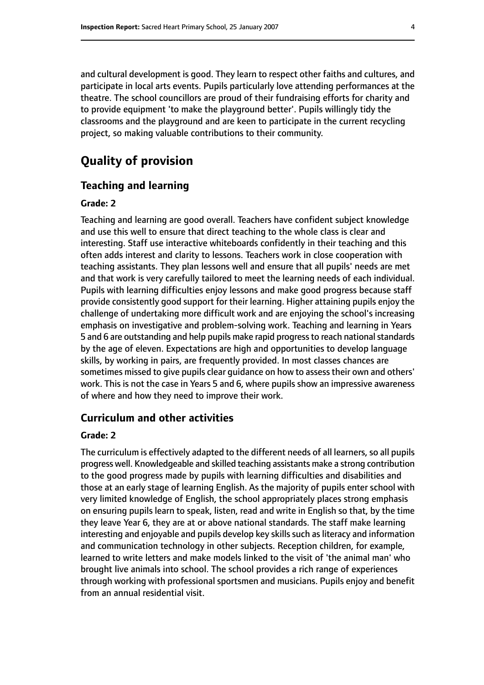and cultural development is good. They learn to respect other faiths and cultures, and participate in local arts events. Pupils particularly love attending performances at the theatre. The school councillors are proud of their fundraising efforts for charity and to provide equipment 'to make the playground better'. Pupils willingly tidy the classrooms and the playground and are keen to participate in the current recycling project, so making valuable contributions to their community.

# **Quality of provision**

#### **Teaching and learning**

#### **Grade: 2**

Teaching and learning are good overall. Teachers have confident subject knowledge and use this well to ensure that direct teaching to the whole class is clear and interesting. Staff use interactive whiteboards confidently in their teaching and this often adds interest and clarity to lessons. Teachers work in close cooperation with teaching assistants. They plan lessons well and ensure that all pupils' needs are met and that work is very carefully tailored to meet the learning needs of each individual. Pupils with learning difficulties enjoy lessons and make good progress because staff provide consistently good support for their learning. Higher attaining pupils enjoy the challenge of undertaking more difficult work and are enjoying the school's increasing emphasis on investigative and problem-solving work. Teaching and learning in Years 5 and 6 are outstanding and help pupils make rapid progress to reach national standards by the age of eleven. Expectations are high and opportunities to develop language skills, by working in pairs, are frequently provided. In most classes chances are sometimes missed to give pupils clear guidance on how to assess their own and others' work. This is not the case in Years 5 and 6, where pupils show an impressive awareness of where and how they need to improve their work.

#### **Curriculum and other activities**

#### **Grade: 2**

The curriculum is effectively adapted to the different needs of all learners, so all pupils progress well. Knowledgeable and skilled teaching assistants make a strong contribution to the good progress made by pupils with learning difficulties and disabilities and those at an early stage of learning English. As the majority of pupils enter school with very limited knowledge of English, the school appropriately places strong emphasis on ensuring pupils learn to speak, listen, read and write in English so that, by the time they leave Year 6, they are at or above national standards. The staff make learning interesting and enjoyable and pupils develop key skills such as literacy and information and communication technology in other subjects. Reception children, for example, learned to write letters and make models linked to the visit of 'the animal man' who brought live animals into school. The school provides a rich range of experiences through working with professional sportsmen and musicians. Pupils enjoy and benefit from an annual residential visit.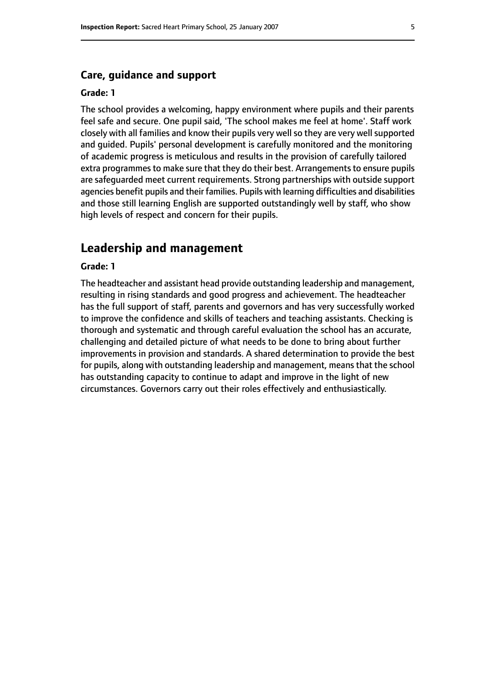#### **Care, guidance and support**

#### **Grade: 1**

The school provides a welcoming, happy environment where pupils and their parents feel safe and secure. One pupil said, 'The school makes me feel at home'. Staff work closely with all families and know their pupils very well so they are very well supported and guided. Pupils' personal development is carefully monitored and the monitoring of academic progress is meticulous and results in the provision of carefully tailored extra programmes to make sure that they do their best. Arrangements to ensure pupils are safeguarded meet current requirements. Strong partnerships with outside support agencies benefit pupils and their families. Pupils with learning difficulties and disabilities and those still learning English are supported outstandingly well by staff, who show high levels of respect and concern for their pupils.

# **Leadership and management**

#### **Grade: 1**

The headteacher and assistant head provide outstanding leadership and management, resulting in rising standards and good progress and achievement. The headteacher has the full support of staff, parents and governors and has very successfully worked to improve the confidence and skills of teachers and teaching assistants. Checking is thorough and systematic and through careful evaluation the school has an accurate, challenging and detailed picture of what needs to be done to bring about further improvements in provision and standards. A shared determination to provide the best for pupils, along with outstanding leadership and management, means that the school has outstanding capacity to continue to adapt and improve in the light of new circumstances. Governors carry out their roles effectively and enthusiastically.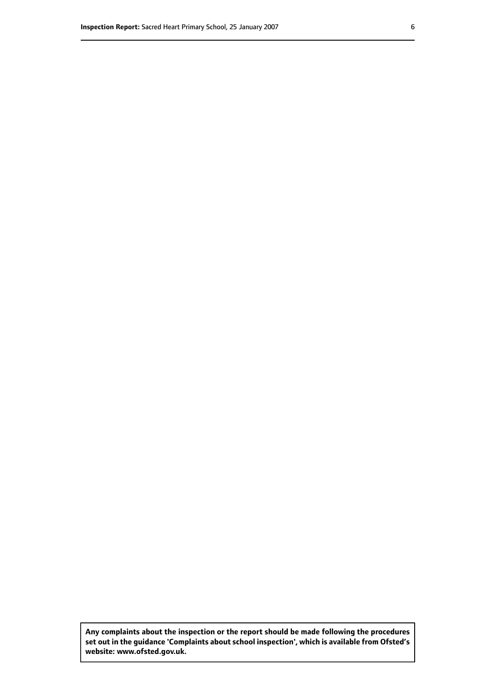**Any complaints about the inspection or the report should be made following the procedures set out inthe guidance 'Complaints about school inspection', whichis available from Ofsted's website: www.ofsted.gov.uk.**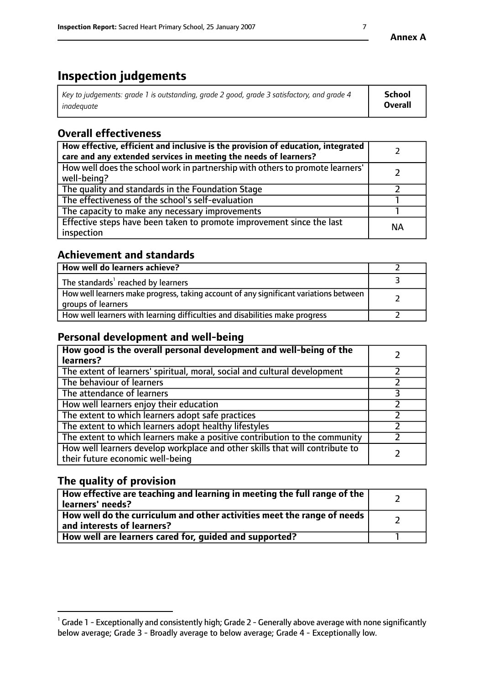# **Inspection judgements**

| Key to judgements: grade 1 is outstanding, grade 2 good, grade 3 satisfactory, and grade 4 | School         |
|--------------------------------------------------------------------------------------------|----------------|
| inadeauate                                                                                 | <b>Overall</b> |

# **Overall effectiveness**

| How effective, efficient and inclusive is the provision of education, integrated<br>care and any extended services in meeting the needs of learners? |           |
|------------------------------------------------------------------------------------------------------------------------------------------------------|-----------|
| How well does the school work in partnership with others to promote learners'<br>well-being?                                                         |           |
| The quality and standards in the Foundation Stage                                                                                                    |           |
| The effectiveness of the school's self-evaluation                                                                                                    |           |
| The capacity to make any necessary improvements                                                                                                      |           |
| Effective steps have been taken to promote improvement since the last<br>inspection                                                                  | <b>NA</b> |

# **Achievement and standards**

| How well do learners achieve?                                                                               |  |
|-------------------------------------------------------------------------------------------------------------|--|
| The standards <sup>1</sup> reached by learners                                                              |  |
| How well learners make progress, taking account of any significant variations between<br>groups of learners |  |
| How well learners with learning difficulties and disabilities make progress                                 |  |

# **Personal development and well-being**

| How good is the overall personal development and well-being of the<br>learners?                                  |  |
|------------------------------------------------------------------------------------------------------------------|--|
| The extent of learners' spiritual, moral, social and cultural development                                        |  |
| The behaviour of learners                                                                                        |  |
| The attendance of learners                                                                                       |  |
| How well learners enjoy their education                                                                          |  |
| The extent to which learners adopt safe practices                                                                |  |
| The extent to which learners adopt healthy lifestyles                                                            |  |
| The extent to which learners make a positive contribution to the community                                       |  |
| How well learners develop workplace and other skills that will contribute to<br>their future economic well-being |  |

# **The quality of provision**

| How effective are teaching and learning in meeting the full range of the<br>  learners' needs?                      |  |
|---------------------------------------------------------------------------------------------------------------------|--|
| $\mid$ How well do the curriculum and other activities meet the range of needs<br>$\mid$ and interests of learners? |  |
| How well are learners cared for, guided and supported?                                                              |  |

 $^1$  Grade 1 - Exceptionally and consistently high; Grade 2 - Generally above average with none significantly below average; Grade 3 - Broadly average to below average; Grade 4 - Exceptionally low.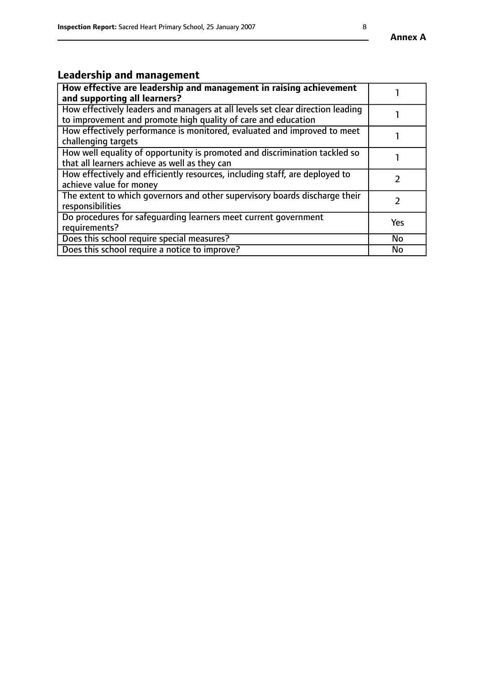# **Leadership and management**

| How effective are leadership and management in raising achievement<br>and supporting all learners?                                              |               |
|-------------------------------------------------------------------------------------------------------------------------------------------------|---------------|
| How effectively leaders and managers at all levels set clear direction leading<br>to improvement and promote high quality of care and education |               |
| How effectively performance is monitored, evaluated and improved to meet<br>challenging targets                                                 |               |
| How well equality of opportunity is promoted and discrimination tackled so<br>that all learners achieve as well as they can                     |               |
| How effectively and efficiently resources, including staff, are deployed to<br>achieve value for money                                          | $\mathcal{P}$ |
| The extent to which governors and other supervisory boards discharge their<br>responsibilities                                                  |               |
| Do procedures for safeguarding learners meet current government<br>requirements?                                                                | Yes           |
| Does this school require special measures?                                                                                                      | <b>No</b>     |
| Does this school require a notice to improve?                                                                                                   | <b>No</b>     |